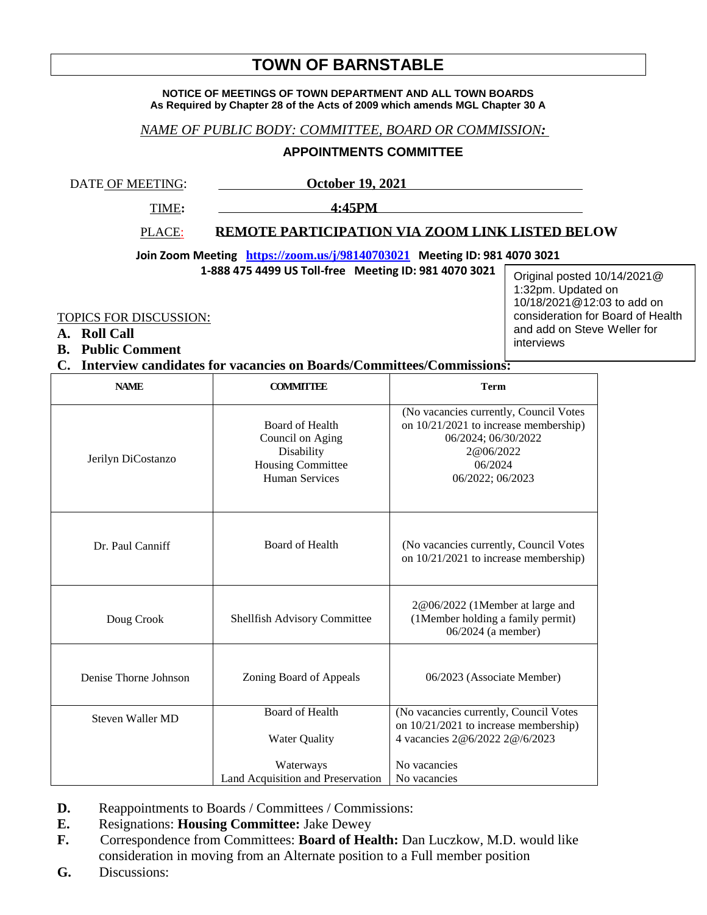# **TOWN OF BARNSTABLE**

#### **NOTICE OF MEETINGS OF TOWN DEPARTMENT AND ALL TOWN BOARDS As Required by Chapter 28 of the Acts of 2009 which amends MGL Chapter 30 A**

### *NAME OF PUBLIC BODY: COMMITTEE, BOARD OR COMMISSION:*

### **APPOINTMENTS COMMITTEE**

DATE OF MEETING: **October 19, 2021** 

TIME**: 4:45PM** 

PLACE: **REMOTE PARTICIPATION VIA ZOOM LINK LISTED BELOW**

**Join Zoom Meeting <https://zoom.us/j/98140703021> Meeting ID: 981 4070 3021**

**1-888 475 4499 US Toll-free Meeting ID: 981 4070 3021**

TOPICS FOR DISCUSSION:

- **A. Roll Call**
- **B. Public Comment**

## **C. Interview candidates for vacancies on Boards/Committees/Commissions:**

| <b>NAME</b>           | <b>COMMITTEE</b>                                                                                       | <b>Term</b>                                                                                                                                        |
|-----------------------|--------------------------------------------------------------------------------------------------------|----------------------------------------------------------------------------------------------------------------------------------------------------|
| Jerilyn DiCostanzo    | Board of Health<br>Council on Aging<br>Disability<br><b>Housing Committee</b><br><b>Human Services</b> | (No vacancies currently, Council Votes<br>on 10/21/2021 to increase membership)<br>06/2024; 06/30/2022<br>2@06/2022<br>06/2024<br>06/2022; 06/2023 |
| Dr. Paul Canniff      | <b>Board of Health</b>                                                                                 | (No vacancies currently, Council Votes)<br>on 10/21/2021 to increase membership)                                                                   |
| Doug Crook            | Shellfish Advisory Committee                                                                           | 2@06/2022 (1Member at large and<br>(1Member holding a family permit)<br>06/2024 (a member)                                                         |
| Denise Thorne Johnson | Zoning Board of Appeals                                                                                | 06/2023 (Associate Member)                                                                                                                         |
| Steven Waller MD      | <b>Board of Health</b>                                                                                 | (No vacancies currently, Council Votes                                                                                                             |
|                       | <b>Water Quality</b>                                                                                   | on 10/21/2021 to increase membership)<br>4 vacancies 2@6/2022 2@/6/2023                                                                            |
|                       | Waterways                                                                                              | No vacancies                                                                                                                                       |
|                       | Land Acquisition and Preservation                                                                      | No vacancies                                                                                                                                       |

- **D.** Reappointments to Boards / Committees / Commissions:
- **E.** Resignations: **Housing Committee:** Jake Dewey
- **F.** Correspondence from Committees: **Board of Health:** Dan Luczkow, M.D. would like consideration in moving from an Alternate position to a Full member position
- **G.** Discussions:

Original posted 10/14/2021@ 1:32pm. Updated on 10/18/2021@12:03 to add on consideration for Board of Health and add on Steve Weller for interviews